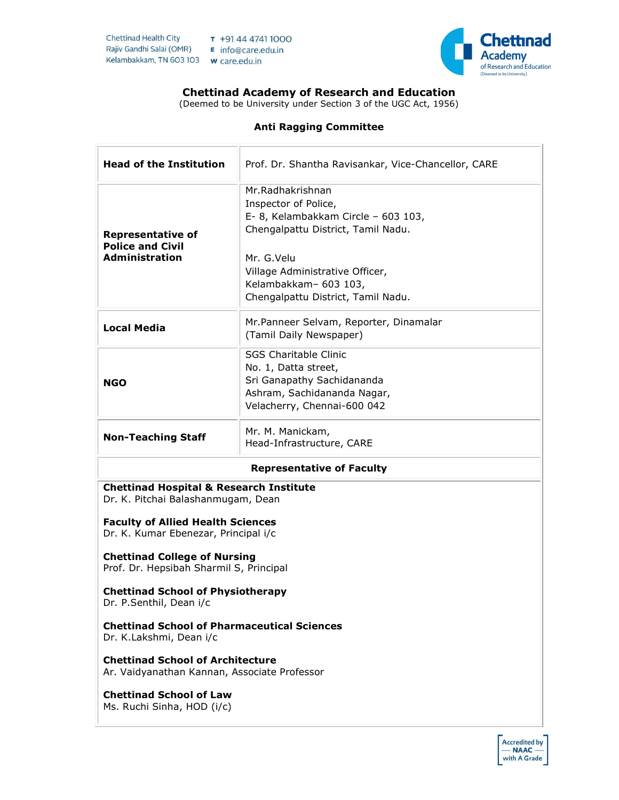

# Chettinad Academy of Research and Education

(Deemed to be University under Section 3 of the UGC Act, 1956)

# Anti Ragging Committee

| <b>Head of the Institution</b>                                                                                                                                                                                                                                 | Prof. Dr. Shantha Ravisankar, Vice-Chancellor, CARE                                                                                                                                                                                   |  |
|----------------------------------------------------------------------------------------------------------------------------------------------------------------------------------------------------------------------------------------------------------------|---------------------------------------------------------------------------------------------------------------------------------------------------------------------------------------------------------------------------------------|--|
| <b>Representative of</b><br><b>Police and Civil</b><br><b>Administration</b>                                                                                                                                                                                   | Mr.Radhakrishnan<br>Inspector of Police,<br>E- 8, Kelambakkam Circle - 603 103,<br>Chengalpattu District, Tamil Nadu.<br>Mr. G.Velu<br>Village Administrative Officer,<br>Kelambakkam- 603 103,<br>Chengalpattu District, Tamil Nadu. |  |
| <b>Local Media</b>                                                                                                                                                                                                                                             | Mr.Panneer Selvam, Reporter, Dinamalar<br>(Tamil Daily Newspaper)                                                                                                                                                                     |  |
| <b>NGO</b>                                                                                                                                                                                                                                                     | <b>SGS Charitable Clinic</b><br>No. 1, Datta street,<br>Sri Ganapathy Sachidananda<br>Ashram, Sachidananda Nagar,<br>Velacherry, Chennai-600 042                                                                                      |  |
| <b>Non-Teaching Staff</b>                                                                                                                                                                                                                                      | Mr. M. Manickam,<br>Head-Infrastructure, CARE                                                                                                                                                                                         |  |
| <b>Representative of Faculty</b>                                                                                                                                                                                                                               |                                                                                                                                                                                                                                       |  |
| <b>Chettinad Hospital &amp; Research Institute</b><br>Dr. K. Pitchai Balashanmugam, Dean<br><b>Faculty of Allied Health Sciences</b><br>Dr. K. Kumar Ebenezar, Principal i/c<br><b>Chettinad College of Nursing</b><br>Prof. Dr. Hepsibah Sharmil S, Principal |                                                                                                                                                                                                                                       |  |
| <b>Chettinad School of Physiotherapy</b><br>Dr. P.Senthil, Dean i/c                                                                                                                                                                                            |                                                                                                                                                                                                                                       |  |
| <b>Chettinad School of Pharmaceutical Sciences</b><br>Dr. K.Lakshmi, Dean i/c                                                                                                                                                                                  |                                                                                                                                                                                                                                       |  |
| <b>Chettinad School of Architecture</b><br>Ar. Vaidyanathan Kannan, Associate Professor                                                                                                                                                                        |                                                                                                                                                                                                                                       |  |
| <b>Chettinad School of Law</b><br>Ms. Ruchi Sinha, HOD (i/c)                                                                                                                                                                                                   |                                                                                                                                                                                                                                       |  |

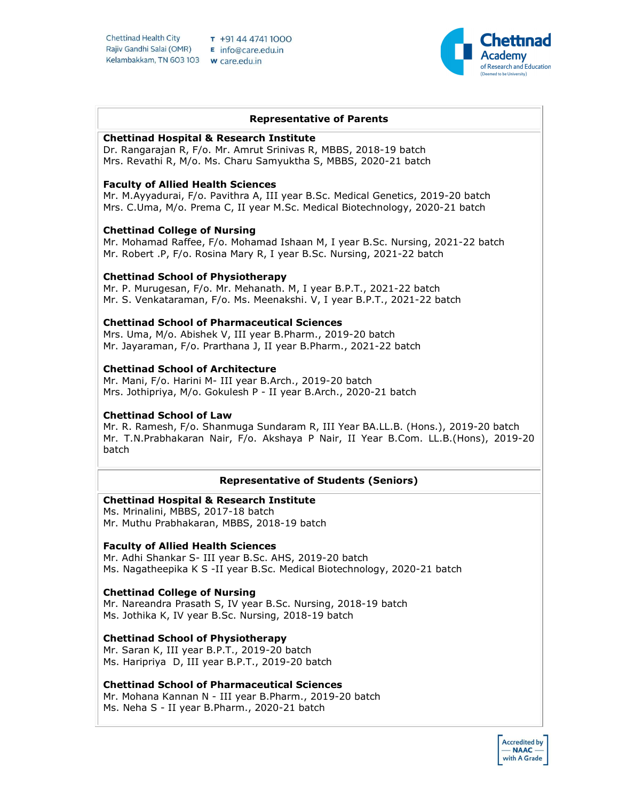**Chettinad Health City** Rajiv Gandhi Salai (OMR) E info@care.edu.in Kelambakkam, TN 603 103 w care.edu.in

 $T + 914447411000$ 



## Representative of Parents

## Chettinad Hospital & Research Institute

Dr. Rangarajan R, F/o. Mr. Amrut Srinivas R, MBBS, 2018-19 batch Mrs. Revathi R, M/o. Ms. Charu Samyuktha S, MBBS, 2020-21 batch

## Faculty of Allied Health Sciences

Mr. M.Ayyadurai, F/o. Pavithra A, III year B.Sc. Medical Genetics, 2019-20 batch Mrs. C.Uma, M/o. Prema C, II year M.Sc. Medical Biotechnology, 2020-21 batch

## Chettinad College of Nursing

Mr. Mohamad Raffee, F/o. Mohamad Ishaan M, I year B.Sc. Nursing, 2021-22 batch Mr. Robert .P, F/o. Rosina Mary R, I year B.Sc. Nursing, 2021-22 batch

## Chettinad School of Physiotherapy

Mr. P. Murugesan, F/o. Mr. Mehanath. M, I year B.P.T., 2021-22 batch Mr. S. Venkataraman, F/o. Ms. Meenakshi. V, I year B.P.T., 2021-22 batch

## Chettinad School of Pharmaceutical Sciences

Mrs. Uma, M/o. Abishek V, III year B.Pharm., 2019-20 batch Mr. Jayaraman, F/o. Prarthana J, II year B.Pharm., 2021-22 batch

## Chettinad School of Architecture

Mr. Mani, F/o. Harini M- III year B.Arch., 2019-20 batch Mrs. Jothipriya, M/o. Gokulesh P - II year B.Arch., 2020-21 batch

#### Chettinad School of Law

Mr. R. Ramesh, F/o. Shanmuga Sundaram R, III Year BA.LL.B. (Hons.), 2019-20 batch Mr. T.N.Prabhakaran Nair, F/o. Akshaya P Nair, II Year B.Com. LL.B.(Hons), 2019-20 batch

## Representative of Students (Seniors)

## Chettinad Hospital & Research Institute

Ms. Mrinalini, MBBS, 2017-18 batch Mr. Muthu Prabhakaran, MBBS, 2018-19 batch

#### Faculty of Allied Health Sciences

Mr. Adhi Shankar S- III year B.Sc. AHS, 2019-20 batch Ms. Nagatheepika K S -II year B.Sc. Medical Biotechnology, 2020-21 batch

## Chettinad College of Nursing

Mr. Nareandra Prasath S, IV year B.Sc. Nursing, 2018-19 batch Ms. Jothika K, IV year B.Sc. Nursing, 2018-19 batch

## Chettinad School of Physiotherapy

Mr. Saran K, III year B.P.T., 2019-20 batch Ms. Haripriya D, III year B.P.T., 2019-20 batch

#### Chettinad School of Pharmaceutical Sciences

Mr. Mohana Kannan N - III year B.Pharm., 2019-20 batch Ms. Neha S - II year B.Pharm., 2020-21 batch

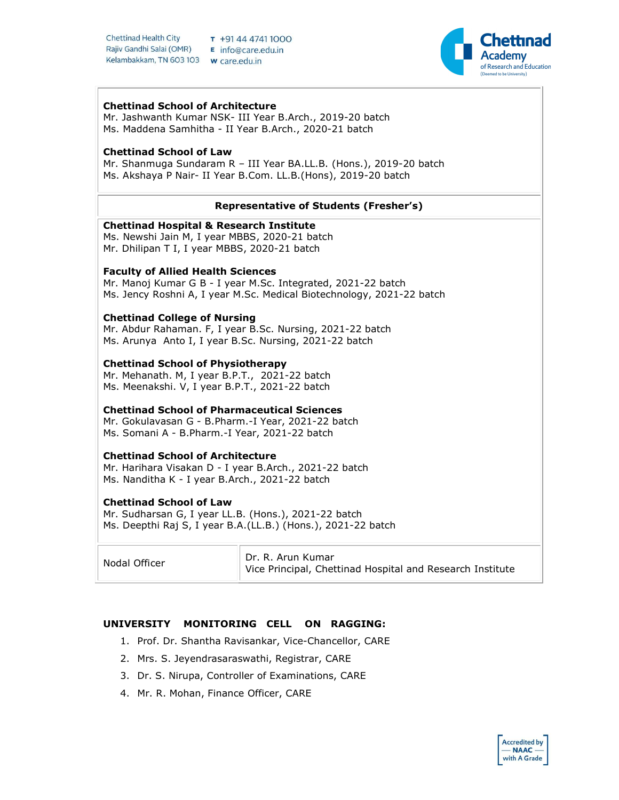**Chettinad Health City** Rajiv Gandhi Salai (OMR) E info@care.edu.in Kelambakkam, TN 603 103 w care.edu.in

 $T + 914447411000$ 



## Chettinad School of Architecture

Mr. Jashwanth Kumar NSK- III Year B.Arch., 2019-20 batch Ms. Maddena Samhitha - II Year B.Arch., 2020-21 batch

## Chettinad School of Law

Mr. Shanmuga Sundaram R – III Year BA.LL.B. (Hons.), 2019-20 batch Ms. Akshaya P Nair- II Year B.Com. LL.B.(Hons), 2019-20 batch

## Representative of Students (Fresher's)

## Chettinad Hospital & Research Institute

Ms. Newshi Jain M, I year MBBS, 2020-21 batch Mr. Dhilipan T I, I year MBBS, 2020-21 batch

## Faculty of Allied Health Sciences

Mr. Manoj Kumar G B - I year M.Sc. Integrated, 2021-22 batch Ms. Jency Roshni A, I year M.Sc. Medical Biotechnology, 2021-22 batch

## Chettinad College of Nursing

Mr. Abdur Rahaman. F, I year B.Sc. Nursing, 2021-22 batch Ms. Arunya Anto I, I year B.Sc. Nursing, 2021-22 batch

## Chettinad School of Physiotherapy

Mr. Mehanath. M, I year B.P.T., 2021-22 batch Ms. Meenakshi. V, I year B.P.T., 2021-22 batch

## Chettinad School of Pharmaceutical Sciences

Mr. Gokulavasan G - B.Pharm.-I Year, 2021-22 batch Ms. Somani A - B.Pharm.-I Year, 2021-22 batch

## Chettinad School of Architecture

Mr. Harihara Visakan D - I year B.Arch., 2021-22 batch Ms. Nanditha K - I year B.Arch., 2021-22 batch

## Chettinad School of Law

Mr. Sudharsan G, I year LL.B. (Hons.), 2021-22 batch Ms. Deepthi Raj S, I year B.A.(LL.B.) (Hons.), 2021-22 batch

Nodal Officer **Dr. R. Arun Kumar** Vice Principal, Chettinad Hospital and Research Institute

## UNIVERSITY MONITORING CELL ON RAGGING:

- 1. Prof. Dr. Shantha Ravisankar, Vice-Chancellor, CARE
- 2. Mrs. S. Jeyendrasaraswathi, Registrar, CARE
- 3. Dr. S. Nirupa, Controller of Examinations, CARE
- 4. Mr. R. Mohan, Finance Officer, CARE